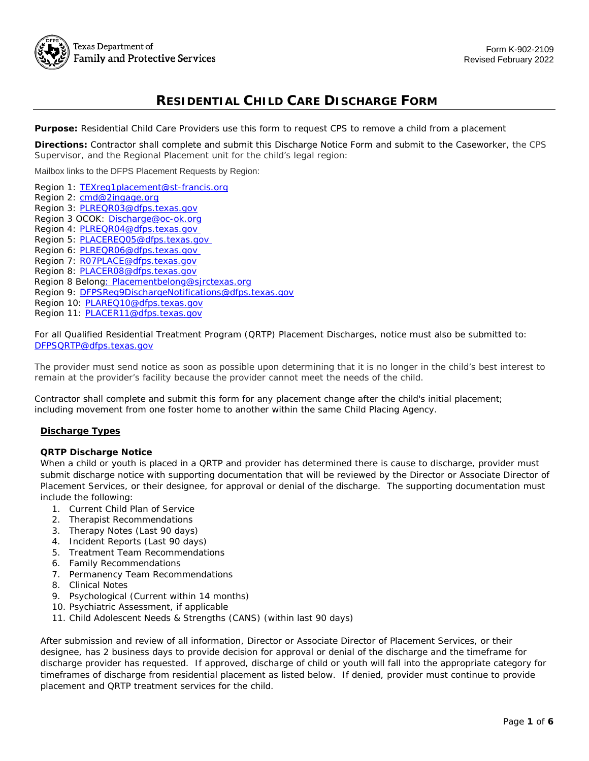# **RESIDENTIAL CHILD CARE DISCHARGE FORM**

**Purpose:** Residential Child Care Providers use this form to request CPS to remove a child from a placement

 **Directions:** Contractor shall complete and submit this Discharge Notice Form and submit to the Caseworker, the CPS Supervisor, and the Regional Placement unit for the child's legal region:

Mailbox links to the DFPS Placement Requests by Region:

- Region 1: TEXreg1placement@st-francis.org
- Region 2: cmd@2ingage.org
- Region 3: **PLREQR03@dfps.texas.gov**
- Region 3 OCOK: Discharge@oc-ok.org
- Region 4: **PLREQR04@dfps.texas.gov**
- Region 5: **PLACEREQ05@dfps.texas.gov**
- Region 6: **PLREQR06@dfps.texas.gov**
- Region 7: RO7PLACE@dfps.texas.gov
- Region 8: **PLACER08@dfps.texas.gov**
- Region 8 Belon<u>g: Placementbelong@sjrctexas.org</u>
- Region 9: DFPSReg9DischargeNotifications@dfps.texas.gov
- Region 10: **PLAREQ10@dfps.texas.gov**
- Region 11: **PLACER11@dfps.texas.gov**

 For all Qualified Residential Treatment Program (QRTP) Placement Discharges, notice must also be submitted to: DFPSQRTP@dfps.texas.gov

<u>DFPSQRTP@dfps.texas.gov</u><br>The provider must send notice as soon as possible upon determining that it is no longer in the child's best interest to remain at the provider's facility because the provider cannot meet the needs of the child.

 Contractor shall complete and submit this form for any placement change after the child's initial placement; including movement from one foster home to another within the same Child Placing Agency.

#### **Discharge Types**

#### **QRTP Discharge Notice**

 When a child or youth is placed in a QRTP and provider has determined there is cause to discharge, provider must submit discharge notice with supporting documentation that will be reviewed by the Director or Associate Director of Placement Services, or their designee, for approval or denial of the discharge. The supporting documentation must include the following:

- 1. Current Child Plan of Service
- 2. Therapist Recommendations
- 3. Therapy Notes (Last 90 days)
- 4. Incident Reports (Last 90 days)
- 5. Treatment Team Recommendations
- 6. Family Recommendations
- 7. Permanency Team Recommendations
- 8. Clinical Notes
- 9. Psychological (Current within 14 months)
- 10. Psychiatric Assessment, if applicable
- 11. Child Adolescent Needs & Strengths (CANS) (within last 90 days)

 After submission and review of all information, Director or Associate Director of Placement Services, or their designee, has 2 business days to provide decision for approval or denial of the discharge and the timeframe for discharge provider has requested. If approved, discharge of child or youth will fall into the appropriate category for timeframes of discharge from residential placement as listed below. If denied, provider must continue to provide placement and QRTP treatment services for the child.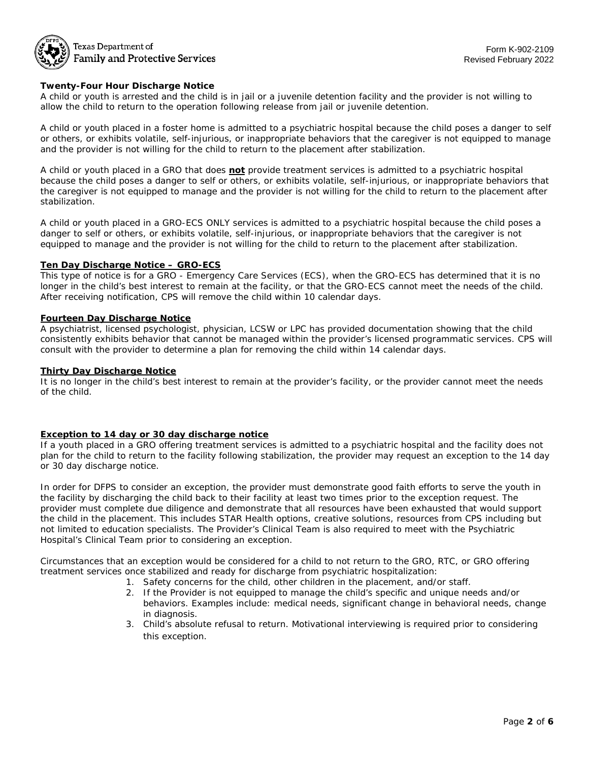

### Texas Department of **Family and Protective Services**

#### **Twenty-Four Hour Discharge Notice**

 A child or youth is arrested and the child is in jail or a juvenile detention facility and the provider is not willing to allow the child to return to the operation following release from jail or juvenile detention.

 A child or youth placed in a foster home is admitted to a psychiatric hospital because the child poses a danger to self or others, or exhibits volatile, self-injurious, or inappropriate behaviors that the caregiver is not equipped to manage and the provider is not willing for the child to return to the placement after stabilization.

 A child or youth placed in a GRO that does **not** provide treatment services is admitted to a psychiatric hospital because the child poses a danger to self or others, or exhibits volatile, self-injurious, or inappropriate behaviors that the caregiver is not equipped to manage and the provider is not willing for the child to return to the placement after stabilization.

 A child or youth placed in a GRO-ECS ONLY services is admitted to a psychiatric hospital because the child poses a danger to self or others, or exhibits volatile, self-injurious, or inappropriate behaviors that the caregiver is not equipped to manage and the provider is not willing for the child to return to the placement after stabilization.

#### **Ten Day Discharge Notice – GRO-ECS**

 This type of notice is for a GRO - Emergency Care Services (ECS), when the GRO-ECS has determined that it is no longer in the child's best interest to remain at the facility, or that the GRO-ECS cannot meet the needs of the child. After receiving notification, CPS will remove the child within 10 calendar days.

#### **Fourteen Day Discharge Notice**

 A psychiatrist, licensed psychologist, physician, LCSW or LPC has provided documentation showing that the child consistently exhibits behavior that cannot be managed within the provider's licensed programmatic services. CPS will consult with the provider to determine a plan for removing the child within 14 calendar days.

#### **Thirty Day Discharge Notice**

 It is no longer in the child's best interest to remain at the provider's facility, or the provider cannot meet the needs of the child.

#### **Exception to 14 day or 30 day discharge notice**

 If a youth placed in a GRO offering treatment services is admitted to a psychiatric hospital and the facility does not plan for the child to return to the facility following stabilization, the provider may request an exception to the 14 day or 30 day discharge notice.

 In order for DFPS to consider an exception, the provider must demonstrate good faith efforts to serve the youth in the facility by discharging the child back to their facility at least two times prior to the exception request. The provider must complete due diligence and demonstrate that all resources have been exhausted that would support the child in the placement. This includes STAR Health options, creative solutions, resources from CPS including but not limited to education specialists. The Provider's Clinical Team is also required to meet with the Psychiatric Hospital's Clinical Team prior to considering an exception.

 Circumstances that an exception would be considered for a child to not return to the GRO, RTC, or GRO offering treatment services once stabilized and ready for discharge from psychiatric hospitalization:

- 1. Safety concerns for the child, other children in the placement, and/or staff.
	- 2. If the Provider is not equipped to manage the child's specific and unique needs and/or behaviors. Examples include: medical needs, significant change in behavioral needs, change in diagnosis.
	- 3. Child's absolute refusal to return. Motivational interviewing is required prior to considering this exception.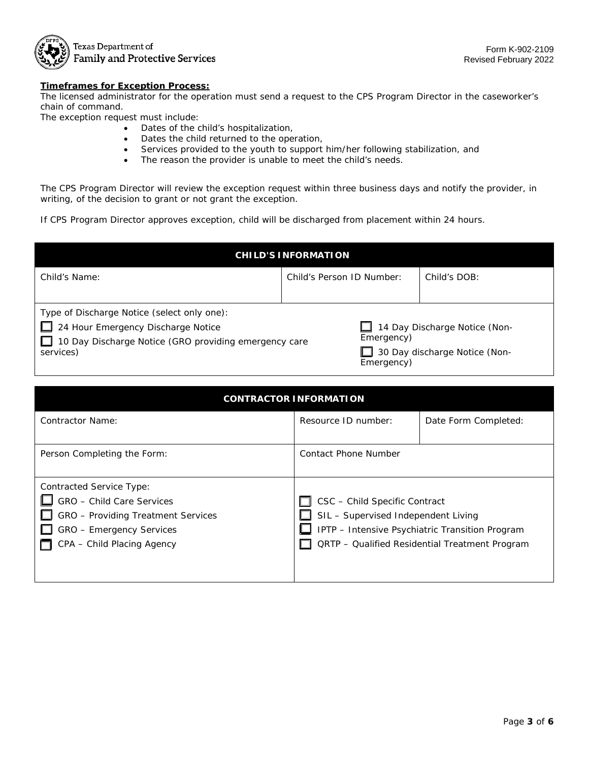

Texas Department of **Family and Protective Services** 

#### **Timeframes for Exception Process:**

 The licensed administrator for the operation must send a request to the CPS Program Director in the caseworker's chain of command.

The exception request must include:

- Dates of the child's hospitalization,
- Dates the child returned to the operation,
- Services provided to the youth to support him/her following stabilization, and
- The reason the provider is unable to meet the child's needs.

 The CPS Program Director will review the exception request within three business days and notify the provider, in writing, of the decision to grant or not grant the exception.

If CPS Program Director approves exception, child will be discharged from placement within 24 hours.

| <b>CHILD'S INFORMATION</b>                            |                           |                               |                               |  |  |
|-------------------------------------------------------|---------------------------|-------------------------------|-------------------------------|--|--|
| Child's Name:                                         | Child's Person ID Number: |                               | Child's DOB:                  |  |  |
|                                                       |                           |                               |                               |  |  |
| Type of Discharge Notice (select only one):           |                           |                               |                               |  |  |
| 24 Hour Emergency Discharge Notice                    |                           | 14 Day Discharge Notice (Non- |                               |  |  |
| 10 Day Discharge Notice (GRO providing emergency care |                           | Emergency)                    |                               |  |  |
| services)                                             |                           | Emergency)                    | 30 Day discharge Notice (Non- |  |  |

| <b>CONTRACTOR INFORMATION</b>                                                                                                                                       |                                                                                                                                                                                  |                      |  |  |
|---------------------------------------------------------------------------------------------------------------------------------------------------------------------|----------------------------------------------------------------------------------------------------------------------------------------------------------------------------------|----------------------|--|--|
| <b>Contractor Name:</b>                                                                                                                                             | Resource ID number:                                                                                                                                                              | Date Form Completed: |  |  |
| Person Completing the Form:                                                                                                                                         | Contact Phone Number                                                                                                                                                             |                      |  |  |
| <b>Contracted Service Type:</b><br>GRO - Child Care Services<br><b>GRO</b> - Providing Treatment Services<br>GRO - Emergency Services<br>CPA - Child Placing Agency | CSC - Child Specific Contract<br>SIL - Supervised Independent Living<br>IPTP - Intensive Psychiatric Transition Program<br><b>QRTP</b> - Qualified Residential Treatment Program |                      |  |  |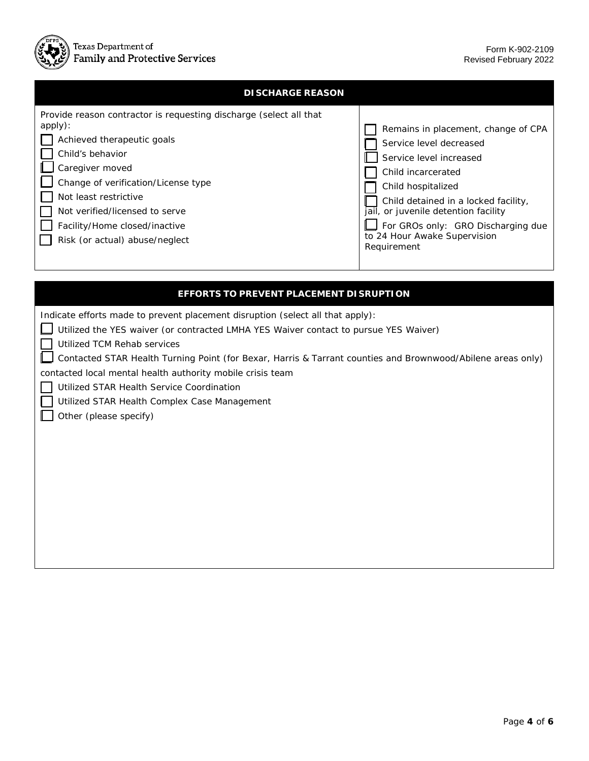

| <b>DISCHARGE REASON</b>                                                                                                                                                                                                                                                                                                 |                                                                                                                                                                                                                                                                                                            |
|-------------------------------------------------------------------------------------------------------------------------------------------------------------------------------------------------------------------------------------------------------------------------------------------------------------------------|------------------------------------------------------------------------------------------------------------------------------------------------------------------------------------------------------------------------------------------------------------------------------------------------------------|
| Provide reason contractor is requesting discharge (select all that<br>apply):<br>Achieved therapeutic goals<br>Child's behavior<br>Caregiver moved<br>Change of verification/License type<br>Not least restrictive<br>Not verified/licensed to serve<br>Facility/Home closed/inactive<br>Risk (or actual) abuse/neglect | Remains in placement, change of CPA<br>Service level decreased<br>Service level increased<br>Child incarcerated<br>Child hospitalized<br>Child detained in a locked facility,<br>jail, or juvenile detention facility<br>For GROs only: GRO Discharging due<br>to 24 Hour Awake Supervision<br>Requirement |
|                                                                                                                                                                                                                                                                                                                         |                                                                                                                                                                                                                                                                                                            |

| <b>EFFORTS TO PREVENT PLACEMENT DI SRUPTION</b>                                                             |
|-------------------------------------------------------------------------------------------------------------|
| Indicate efforts made to prevent placement disruption (select all that apply):                              |
| Utilized the YES waiver (or contracted LMHA YES Waiver contact to pursue YES Waiver)                        |
| Utilized TCM Rehab services                                                                                 |
| Contacted STAR Health Turning Point (for Bexar, Harris & Tarrant counties and Brownwood/Abilene areas only) |
| contacted local mental health authority mobile crisis team                                                  |
| Utilized STAR Health Service Coordination                                                                   |
| Utilized STAR Health Complex Case Management                                                                |
| Other (please specify)                                                                                      |
|                                                                                                             |
|                                                                                                             |
|                                                                                                             |
|                                                                                                             |
|                                                                                                             |
|                                                                                                             |
|                                                                                                             |
|                                                                                                             |
|                                                                                                             |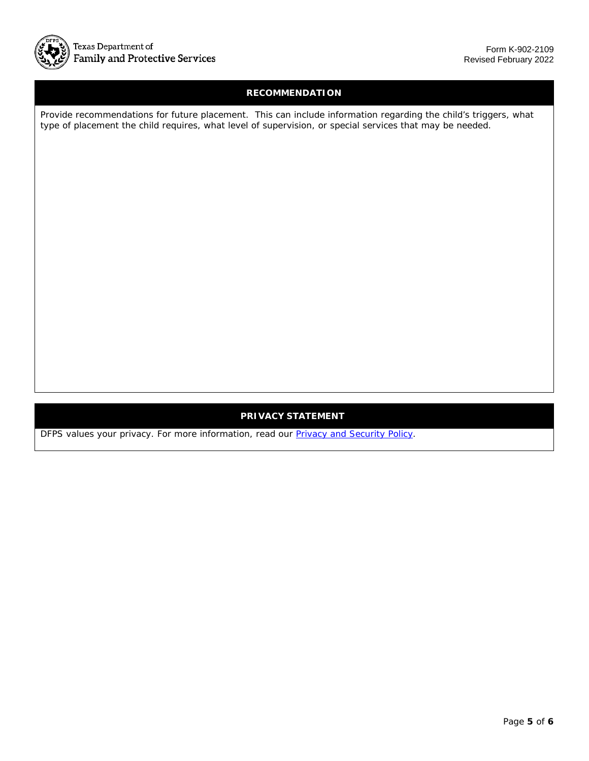

# **RECOMMENDATION**

 Provide recommendations for future placement. This can include information regarding the child's triggers, what type of placement the child requires, what level of supervision, or special services that may be needed.

## **PRIVACY STATEMENT**

DFPS values your privacy. For more information, read our **Privacy and Security Policy**.